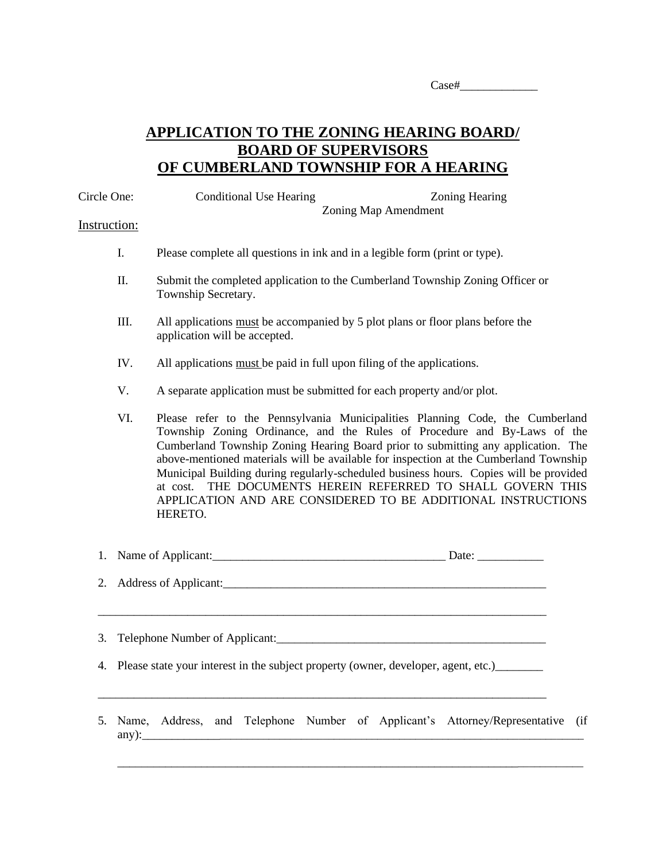## **APPLICATION TO THE ZONING HEARING BOARD/ BOARD OF SUPERVISORS OF CUMBERLAND TOWNSHIP FOR A HEARING**

| Circle One:  |      | <b>Conditional Use Hearing</b><br><b>Zoning Hearing</b><br>Zoning Map Amendment                                                                                                                                                                                                                                                                                                                                                                                                                                                                                               |
|--------------|------|-------------------------------------------------------------------------------------------------------------------------------------------------------------------------------------------------------------------------------------------------------------------------------------------------------------------------------------------------------------------------------------------------------------------------------------------------------------------------------------------------------------------------------------------------------------------------------|
| Instruction: |      |                                                                                                                                                                                                                                                                                                                                                                                                                                                                                                                                                                               |
|              | I.   | Please complete all questions in ink and in a legible form (print or type).                                                                                                                                                                                                                                                                                                                                                                                                                                                                                                   |
|              | Π.   | Submit the completed application to the Cumberland Township Zoning Officer or<br>Township Secretary.                                                                                                                                                                                                                                                                                                                                                                                                                                                                          |
|              | III. | All applications must be accompanied by 5 plot plans or floor plans before the<br>application will be accepted.                                                                                                                                                                                                                                                                                                                                                                                                                                                               |
|              | IV.  | All applications must be paid in full upon filing of the applications.                                                                                                                                                                                                                                                                                                                                                                                                                                                                                                        |
|              | V.   | A separate application must be submitted for each property and/or plot.                                                                                                                                                                                                                                                                                                                                                                                                                                                                                                       |
|              | VI.  | Please refer to the Pennsylvania Municipalities Planning Code, the Cumberland<br>Township Zoning Ordinance, and the Rules of Procedure and By-Laws of the<br>Cumberland Township Zoning Hearing Board prior to submitting any application. The<br>above-mentioned materials will be available for inspection at the Cumberland Township<br>Municipal Building during regularly-scheduled business hours. Copies will be provided<br>THE DOCUMENTS HEREIN REFERRED TO SHALL GOVERN THIS<br>at cost.<br>APPLICATION AND ARE CONSIDERED TO BE ADDITIONAL INSTRUCTIONS<br>HERETO. |
| 1.           |      | Name of Applicant: Date: Date: Date:                                                                                                                                                                                                                                                                                                                                                                                                                                                                                                                                          |
| 2.           |      |                                                                                                                                                                                                                                                                                                                                                                                                                                                                                                                                                                               |
| 3.           |      |                                                                                                                                                                                                                                                                                                                                                                                                                                                                                                                                                                               |
|              |      | 4. Please state your interest in the subject property (owner, developer, agent, etc.)______                                                                                                                                                                                                                                                                                                                                                                                                                                                                                   |
| 5.           |      | Name, Address, and Telephone Number of Applicant's Attorney/Representative<br>(if                                                                                                                                                                                                                                                                                                                                                                                                                                                                                             |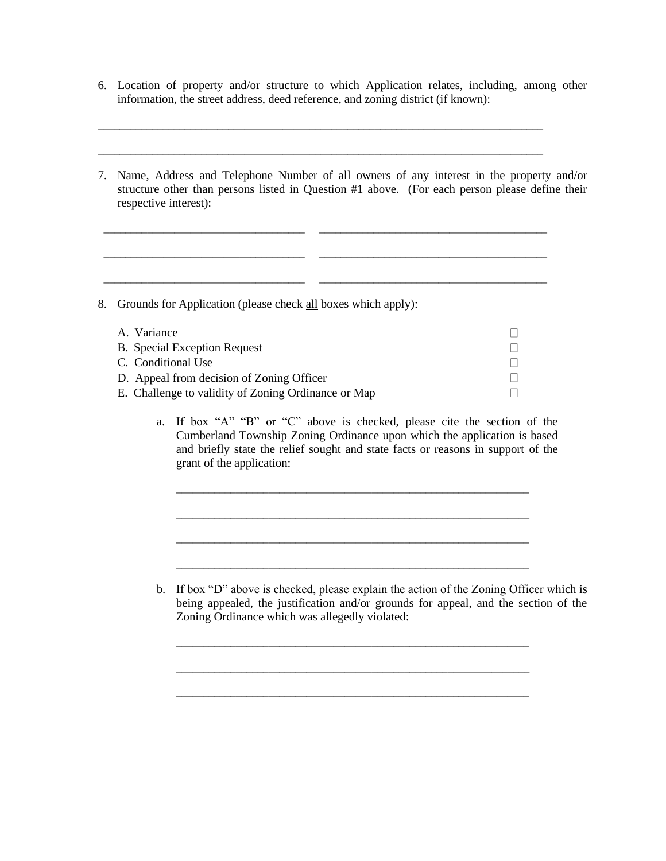6. Location of property and/or structure to which Application relates, including, among other information, the street address, deed reference, and zoning district (if known):

\_\_\_\_\_\_\_\_\_\_\_\_\_\_\_\_\_\_\_\_\_\_\_\_\_\_\_\_\_\_\_\_\_\_\_\_\_\_\_\_\_\_\_\_\_\_\_\_\_\_\_\_\_\_\_\_\_\_\_\_\_\_\_\_\_\_\_\_\_\_\_\_\_\_\_\_\_\_\_\_\_\_

\_\_\_\_\_\_\_\_\_\_\_\_\_\_\_\_\_\_\_\_\_\_\_\_\_\_\_\_\_\_\_\_\_\_\_\_\_\_\_\_\_\_\_\_\_\_\_\_\_\_\_\_\_\_\_\_\_\_\_\_\_\_\_\_\_\_\_\_\_\_\_\_\_\_\_\_\_\_\_\_\_\_

\_\_\_\_\_\_\_\_\_\_\_\_\_\_\_\_\_\_\_\_\_\_\_\_\_\_\_\_\_\_\_\_\_\_\_\_\_ \_\_\_\_\_\_\_\_\_\_\_\_\_\_\_\_\_\_\_\_\_\_\_\_\_\_\_\_\_\_\_\_\_\_\_\_\_\_\_\_\_\_

\_\_\_\_\_\_\_\_\_\_\_\_\_\_\_\_\_\_\_\_\_\_\_\_\_\_\_\_\_\_\_\_\_\_\_\_\_ \_\_\_\_\_\_\_\_\_\_\_\_\_\_\_\_\_\_\_\_\_\_\_\_\_\_\_\_\_\_\_\_\_\_\_\_\_\_\_\_\_\_

7. Name, Address and Telephone Number of all owners of any interest in the property and/or structure other than persons listed in Question #1 above. (For each person please define their respective interest):

| 8. | Grounds for Application (please check all boxes which apply): |  |  |  |
|----|---------------------------------------------------------------|--|--|--|
|    | A. Variance                                                   |  |  |  |
|    | <b>B.</b> Special Exception Request                           |  |  |  |
|    | C. Conditional Use                                            |  |  |  |
|    | D. Appeal from decision of Zoning Officer                     |  |  |  |
|    | E. Challenge to validity of Zoning Ordinance or Map           |  |  |  |

a. If box "A" "B" or "C" above is checked, please cite the section of the Cumberland Township Zoning Ordinance upon which the application is based and briefly state the relief sought and state facts or reasons in support of the grant of the application:

\_\_\_\_\_\_\_\_\_\_\_\_\_\_\_\_\_\_\_\_\_\_\_\_\_\_\_\_\_\_\_\_\_\_\_\_\_\_\_\_\_\_\_\_\_\_\_\_\_\_\_\_\_\_\_\_\_\_\_\_\_\_\_\_\_

\_\_\_\_\_\_\_\_\_\_\_\_\_\_\_\_\_\_\_\_\_\_\_\_\_\_\_\_\_\_\_\_\_\_\_\_\_\_\_\_\_\_\_\_\_\_\_\_\_\_\_\_\_\_\_\_\_\_\_\_\_\_\_\_\_

\_\_\_\_\_\_\_\_\_\_\_\_\_\_\_\_\_\_\_\_\_\_\_\_\_\_\_\_\_\_\_\_\_\_\_\_\_\_\_\_\_\_\_\_\_\_\_\_\_\_\_\_\_\_\_\_\_\_\_\_\_\_\_\_\_

\_\_\_\_\_\_\_\_\_\_\_\_\_\_\_\_\_\_\_\_\_\_\_\_\_\_\_\_\_\_\_\_\_\_\_\_\_\_\_\_\_\_\_\_\_\_\_\_\_\_\_\_\_\_\_\_\_\_\_\_\_\_\_\_\_

\_\_\_\_\_\_\_\_\_\_\_\_\_\_\_\_\_\_\_\_\_\_\_\_\_\_\_\_\_\_\_\_\_\_\_\_\_\_\_\_\_\_\_\_\_\_\_\_\_\_\_\_\_\_\_\_\_\_\_\_\_\_\_\_\_

\_\_\_\_\_\_\_\_\_\_\_\_\_\_\_\_\_\_\_\_\_\_\_\_\_\_\_\_\_\_\_\_\_\_\_\_\_\_\_\_\_\_\_\_\_\_\_\_\_\_\_\_\_\_\_\_\_\_\_\_\_\_\_\_\_

b. If box "D" above is checked, please explain the action of the Zoning Officer which is being appealed, the justification and/or grounds for appeal, and the section of the Zoning Ordinance which was allegedly violated: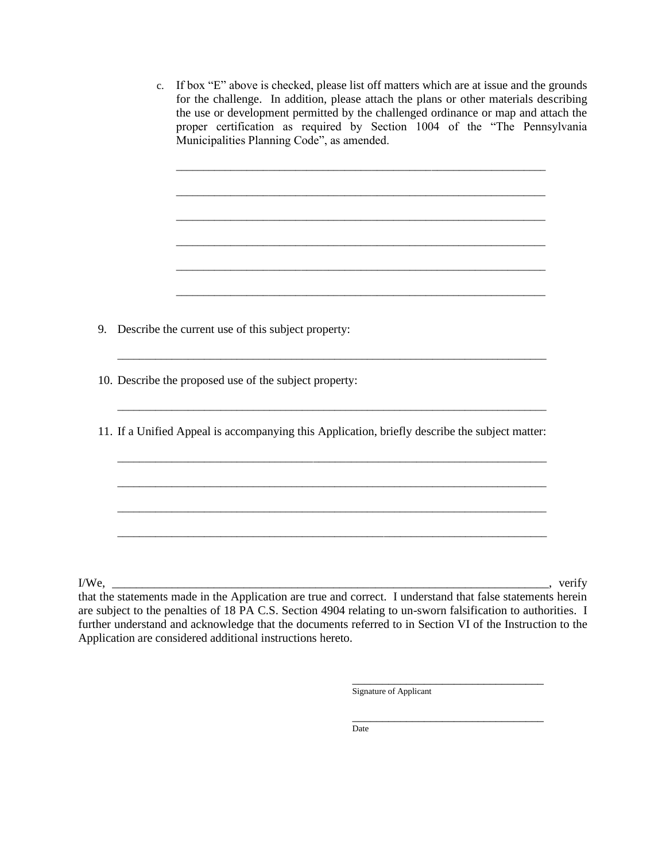c. If box "E" above is checked, please list off matters which are at issue and the grounds for the challenge. In addition, please attach the plans or other materials describing the use or development permitted by the challenged ordinance or map and attach the proper certification as required by Section 1004 of the "The Pennsylvania Municipalities Planning Code", as amended.

\_\_\_\_\_\_\_\_\_\_\_\_\_\_\_\_\_\_\_\_\_\_\_\_\_\_\_\_\_\_\_\_\_\_\_\_\_\_\_\_\_\_\_\_\_\_\_\_\_\_\_\_\_\_\_\_\_\_\_\_\_\_\_\_\_\_\_\_

\_\_\_\_\_\_\_\_\_\_\_\_\_\_\_\_\_\_\_\_\_\_\_\_\_\_\_\_\_\_\_\_\_\_\_\_\_\_\_\_\_\_\_\_\_\_\_\_\_\_\_\_\_\_\_\_\_\_\_\_\_\_\_\_\_\_\_\_

\_\_\_\_\_\_\_\_\_\_\_\_\_\_\_\_\_\_\_\_\_\_\_\_\_\_\_\_\_\_\_\_\_\_\_\_\_\_\_\_\_\_\_\_\_\_\_\_\_\_\_\_\_\_\_\_\_\_\_\_\_\_\_\_\_\_\_\_

\_\_\_\_\_\_\_\_\_\_\_\_\_\_\_\_\_\_\_\_\_\_\_\_\_\_\_\_\_\_\_\_\_\_\_\_\_\_\_\_\_\_\_\_\_\_\_\_\_\_\_\_\_\_\_\_\_\_\_\_\_\_\_\_\_\_\_\_

\_\_\_\_\_\_\_\_\_\_\_\_\_\_\_\_\_\_\_\_\_\_\_\_\_\_\_\_\_\_\_\_\_\_\_\_\_\_\_\_\_\_\_\_\_\_\_\_\_\_\_\_\_\_\_\_\_\_\_\_\_\_\_\_\_\_\_\_

\_\_\_\_\_\_\_\_\_\_\_\_\_\_\_\_\_\_\_\_\_\_\_\_\_\_\_\_\_\_\_\_\_\_\_\_\_\_\_\_\_\_\_\_\_\_\_\_\_\_\_\_\_\_\_\_\_\_\_\_\_\_\_\_\_\_\_\_

- 9. Describe the current use of this subject property:
- 10. Describe the proposed use of the subject property:
- 11. If a Unified Appeal is accompanying this Application, briefly describe the subject matter:

\_\_\_\_\_\_\_\_\_\_\_\_\_\_\_\_\_\_\_\_\_\_\_\_\_\_\_\_\_\_\_\_\_\_\_\_\_\_\_\_\_\_\_\_\_\_\_\_\_\_\_\_\_\_\_\_\_\_\_\_\_\_\_\_\_\_\_\_\_\_\_\_\_\_\_\_\_\_\_

\_\_\_\_\_\_\_\_\_\_\_\_\_\_\_\_\_\_\_\_\_\_\_\_\_\_\_\_\_\_\_\_\_\_\_\_\_\_\_\_\_\_\_\_\_\_\_\_\_\_\_\_\_\_\_\_\_\_\_\_\_\_\_\_\_\_\_\_\_\_\_\_\_\_\_\_\_\_\_

\_\_\_\_\_\_\_\_\_\_\_\_\_\_\_\_\_\_\_\_\_\_\_\_\_\_\_\_\_\_\_\_\_\_\_\_\_\_\_\_\_\_\_\_\_\_\_\_\_\_\_\_\_\_\_\_\_\_\_\_\_\_\_\_\_\_\_\_\_\_\_\_\_\_\_\_\_\_\_

\_\_\_\_\_\_\_\_\_\_\_\_\_\_\_\_\_\_\_\_\_\_\_\_\_\_\_\_\_\_\_\_\_\_\_\_\_\_\_\_\_\_\_\_\_\_\_\_\_\_\_\_\_\_\_\_\_\_\_\_\_\_\_\_\_\_\_\_\_\_\_\_\_\_\_\_\_\_\_

\_\_\_\_\_\_\_\_\_\_\_\_\_\_\_\_\_\_\_\_\_\_\_\_\_\_\_\_\_\_\_\_\_\_\_\_\_\_\_\_\_\_\_\_\_\_\_\_\_\_\_\_\_\_\_\_\_\_\_\_\_\_\_\_\_\_\_\_\_\_\_\_\_\_\_\_\_\_\_

\_\_\_\_\_\_\_\_\_\_\_\_\_\_\_\_\_\_\_\_\_\_\_\_\_\_\_\_\_\_\_\_\_\_\_\_\_\_\_\_\_\_\_\_\_\_\_\_\_\_\_\_\_\_\_\_\_\_\_\_\_\_\_\_\_\_\_\_\_\_\_\_\_\_\_\_\_\_\_

I/We, \_\_\_\_\_\_\_\_\_\_\_\_\_\_\_\_\_\_\_\_\_\_\_\_\_\_\_\_\_\_\_\_\_\_\_\_\_\_\_\_\_\_\_\_\_\_\_\_\_\_\_\_\_\_\_\_\_\_\_\_\_\_\_\_\_\_\_\_\_\_\_\_\_, verify that the statements made in the Application are true and correct. I understand that false statements herein are subject to the penalties of 18 PA C.S. Section 4904 relating to un-sworn falsification to authorities. I further understand and acknowledge that the documents referred to in Section VI of the Instruction to the Application are considered additional instructions hereto.

> \_\_\_\_\_\_\_\_\_\_\_\_\_\_\_\_\_\_\_\_\_\_\_\_\_\_\_\_\_\_\_\_ Signature of Applicant

> \_\_\_\_\_\_\_\_\_\_\_\_\_\_\_\_\_\_\_\_\_\_\_\_\_\_\_\_\_\_\_\_

 $\overline{a}$